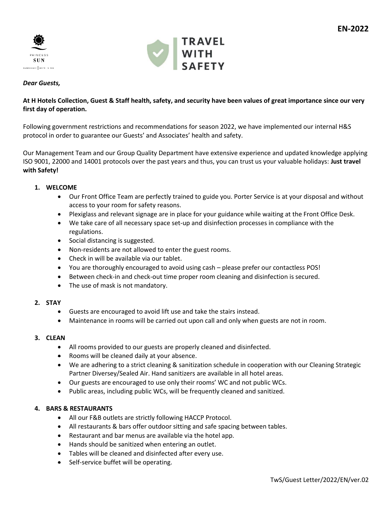



# *Dear Guests,*

# **At H Hotels Collection, Guest & Staff health, safety, and security have been values of great importance since our very first day of operation.**

Following government restrictions and recommendations for season 2022, we have implemented our internal H&S protocol in order to guarantee our Guests' and Associates' health and safety.

Our Management Team and our Group Quality Department have extensive experience and updated knowledge applying ISO 9001, 22000 and 14001 protocols over the past years and thus, you can trust us your valuable holidays: **Just travel with Safety!**

# **1. WELCOME**

- Our Front Office Team are perfectly trained to guide you. Porter Service is at your disposal and without access to your room for safety reasons.
- Plexiglass and relevant signage are in place for your guidance while waiting at the Front Office Desk.
- We take care of all necessary space set-up and disinfection processes in compliance with the regulations.
- Social distancing is suggested.
- Non-residents are not allowed to enter the guest rooms.
- Check in will be available via our tablet.
- You are thoroughly encouraged to avoid using cash please prefer our contactless POS!
- Between check-in and check-out time proper room cleaning and disinfection is secured.
- The use of mask is not mandatory.

# **2. STAY**

- Guests are encouraged to avoid lift use and take the stairs instead.
- Maintenance in rooms will be carried out upon call and only when guests are not in room.

# **3. CLEAN**

- All rooms provided to our guests are properly cleaned and disinfected.
- Rooms will be cleaned daily at your absence.
- We are adhering to a strict cleaning & sanitization schedule in cooperation with our Cleaning Strategic Partner Diversey/Sealed Air. Hand sanitizers are available in all hotel areas.
- Our guests are encouraged to use only their rooms' WC and not public WCs.
- Public areas, including public WCs, will be frequently cleaned and sanitized.

# **4. BARS & RESTAURANTS**

- All our F&B outlets are strictly following HACCP Protocol.
- All restaurants & bars offer outdoor sitting and safe spacing between tables.
- Restaurant and bar menus are available via the hotel app.
- Hands should be sanitized when entering an outlet.
- Tables will be cleaned and disinfected after every use.
- Self-service buffet will be operating.